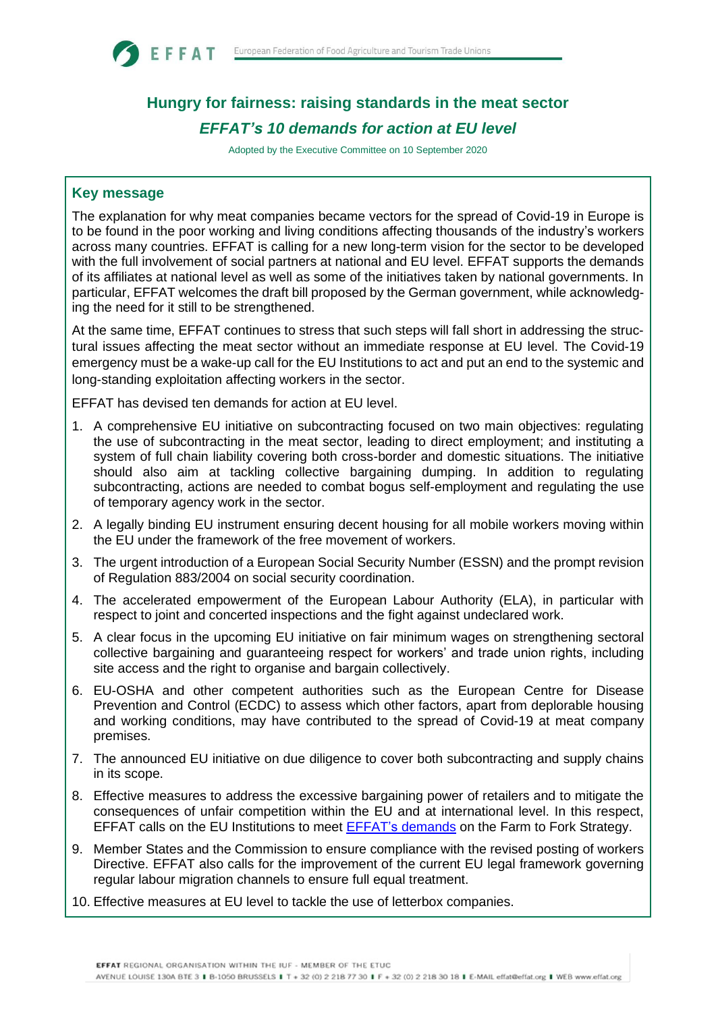

# **Hungry for fairness: raising standards in the meat sector** *EFFAT's 10 demands for action at EU level*

Adopted by the Executive Committee on 10 September 2020

## **Key message**

The explanation for why meat companies became vectors for the spread of Covid-19 in Europe is to be found in the poor working and living conditions affecting thousands of the industry's workers across many countries. EFFAT is calling for a new long-term vision for the sector to be developed with the full involvement of social partners at national and EU level. EFFAT supports the demands of its affiliates at national level as well as some of the initiatives taken by national governments. In particular, EFFAT welcomes the draft bill proposed by the German government, while acknowledging the need for it still to be strengthened.

At the same time, EFFAT continues to stress that such steps will fall short in addressing the structural issues affecting the meat sector without an immediate response at EU level. The Covid-19 emergency must be a wake-up call for the EU Institutions to act and put an end to the systemic and long-standing exploitation affecting workers in the sector.

EFFAT has devised ten demands for action at EU level.

- 1. A comprehensive EU initiative on subcontracting focused on two main objectives: regulating the use of subcontracting in the meat sector, leading to direct employment; and instituting a system of full chain liability covering both cross-border and domestic situations. The initiative should also aim at tackling collective bargaining dumping. In addition to regulating subcontracting, actions are needed to combat bogus self-employment and regulating the use of temporary agency work in the sector.
- 2. A legally binding EU instrument ensuring decent housing for all mobile workers moving within the EU under the framework of the free movement of workers.
- 3. The urgent introduction of a European Social Security Number (ESSN) and the prompt revision of Regulation 883/2004 on social security coordination.
- 4. The accelerated empowerment of the European Labour Authority (ELA), in particular with respect to joint and concerted inspections and the fight against undeclared work.
- 5. A clear focus in the upcoming EU initiative on fair minimum wages on strengthening sectoral collective bargaining and guaranteeing respect for workers' and trade union rights, including site access and the right to organise and bargain collectively.
- 6. EU-OSHA and other competent authorities such as the European Centre for Disease Prevention and Control (ECDC) to assess which other factors, apart from deplorable housing and working conditions, may have contributed to the spread of Covid-19 at meat company premises.
- 7. The announced EU initiative on due diligence to cover both subcontracting and supply chains in its scope.
- 8. Effective measures to address the excessive bargaining power of retailers and to mitigate the consequences of unfair competition within the EU and at international level. In this respect, EFFAT calls on the EU Institutions to meet EFFAT's [demands](https://www.effat.org/wp-content/uploads/2020/03/For-a-Successful-EU-Farm-to-Fork-Strategy-EFFAT-Orientation-Paper-.pdf) on the Farm to Fork Strategy.
- 9. Member States and the Commission to ensure compliance with the revised posting of workers Directive. EFFAT also calls for the improvement of the current EU legal framework governing regular labour migration channels to ensure full equal treatment.
- 10. Effective measures at EU level to tackle the use of letterbox companies.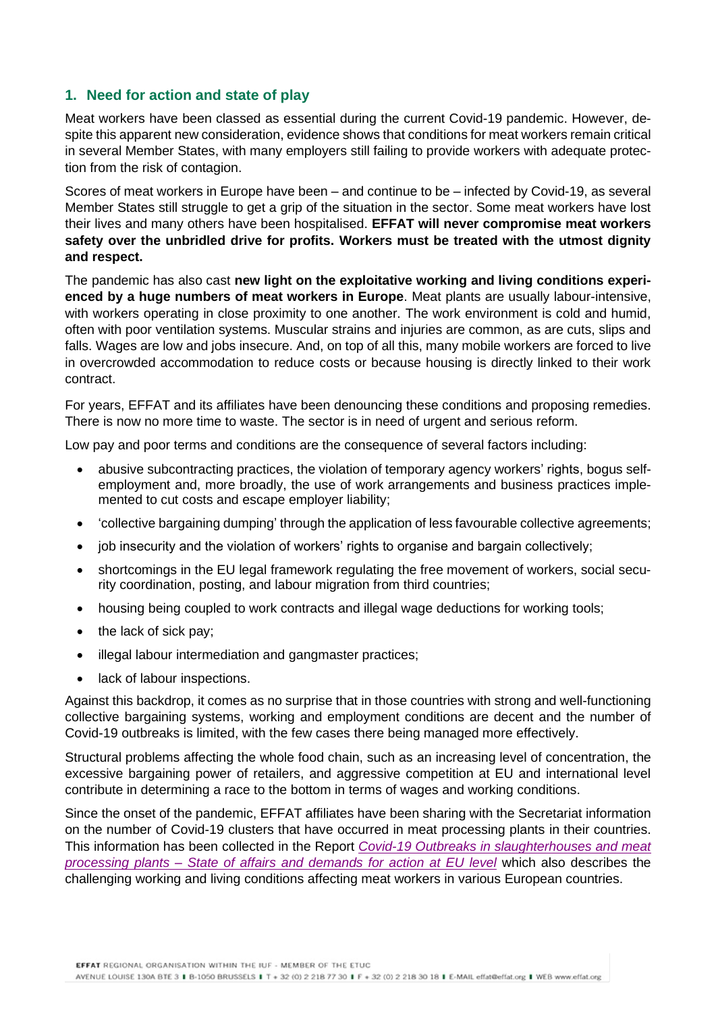# **1. Need for action and state of play**

Meat workers have been classed as essential during the current Covid-19 pandemic. However, despite this apparent new consideration, evidence shows that conditions for meat workers remain critical in several Member States, with many employers still failing to provide workers with adequate protection from the risk of contagion.

Scores of meat workers in Europe have been – and continue to be – infected by Covid-19, as several Member States still struggle to get a grip of the situation in the sector. Some meat workers have lost their lives and many others have been hospitalised. **EFFAT will never compromise meat workers safety over the unbridled drive for profits. Workers must be treated with the utmost dignity and respect.**

The pandemic has also cast **new light on the exploitative working and living conditions experienced by a huge numbers of meat workers in Europe**. Meat plants are usually labour-intensive, with workers operating in close proximity to one another. The work environment is cold and humid, often with poor ventilation systems. Muscular strains and injuries are common, as are cuts, slips and falls. Wages are low and jobs insecure. And, on top of all this, many mobile workers are forced to live in overcrowded accommodation to reduce costs or because housing is directly linked to their work contract.

For years, EFFAT and its affiliates have been denouncing these conditions and proposing remedies. There is now no more time to waste. The sector is in need of urgent and serious reform.

Low pay and poor terms and conditions are the consequence of several factors including:

- abusive subcontracting practices, the violation of temporary agency workers' rights, bogus selfemployment and, more broadly, the use of work arrangements and business practices implemented to cut costs and escape employer liability;
- 'collective bargaining dumping' through the application of less favourable collective agreements;
- job insecurity and the violation of workers' rights to organise and bargain collectively;
- shortcomings in the EU legal framework regulating the free movement of workers, social security coordination, posting, and labour migration from third countries;
- housing being coupled to work contracts and illegal wage deductions for working tools;
- the lack of sick pay;
- illegal labour intermediation and gangmaster practices;
- lack of labour inspections.

Against this backdrop, it comes as no surprise that in those countries with strong and well-functioning collective bargaining systems, working and employment conditions are decent and the number of Covid-19 outbreaks is limited, with the few cases there being managed more effectively.

Structural problems affecting the whole food chain, such as an increasing level of concentration, the excessive bargaining power of retailers, and aggressive competition at EU and international level contribute in determining a race to the bottom in terms of wages and working conditions.

Since the onset of the pandemic, EFFAT affiliates have been sharing with the Secretariat information on the number of Covid-19 clusters that have occurred in meat processing plants in their countries. This information has been collected in the Report *[Covid-19 Outbreaks in slaughterhouses and meat](https://effat.org/wp-content/uploads/2020/09/Covid-19-outbreaks-in-slaughterhouses-and-meat-processing-plants-State-of-affairs-and-demands-for-action-at-EU-level-7.09.2020.pdf)  processing plants* – *[State of affairs and demands for action at EU level](https://effat.org/wp-content/uploads/2020/09/Covid-19-outbreaks-in-slaughterhouses-and-meat-processing-plants-State-of-affairs-and-demands-for-action-at-EU-level-7.09.2020.pdf)* which also describes the challenging working and living conditions affecting meat workers in various European countries.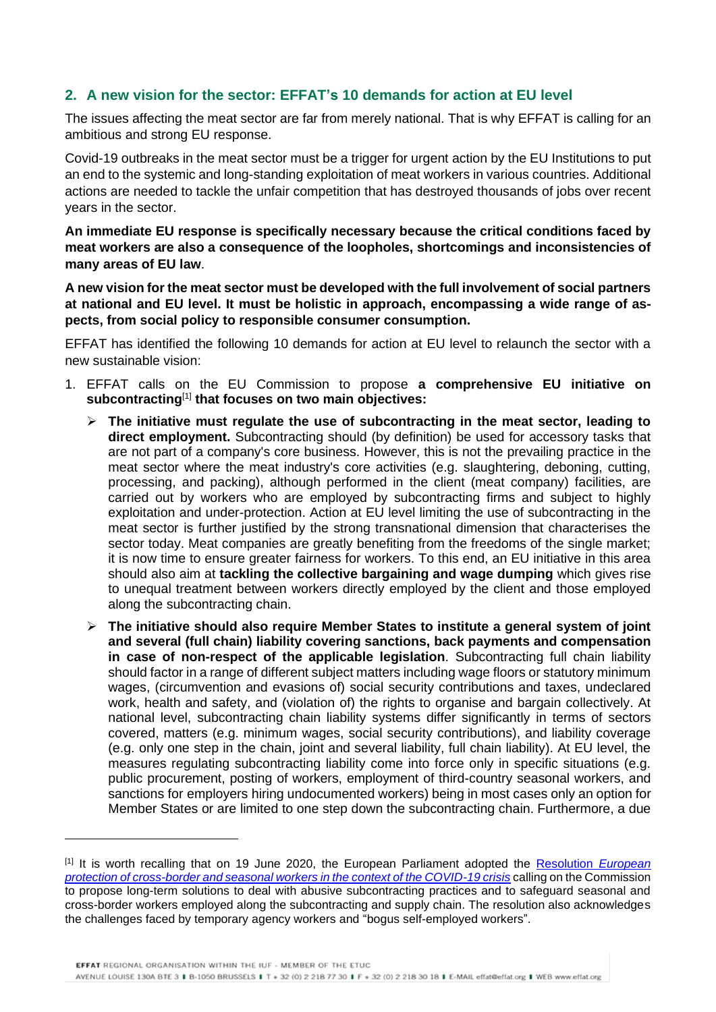# **2. A new vision for the sector: EFFAT's 10 demands for action at EU level**

The issues affecting the meat sector are far from merely national. That is why EFFAT is calling for an ambitious and strong EU response.

Covid-19 outbreaks in the meat sector must be a trigger for urgent action by the EU Institutions to put an end to the systemic and long-standing exploitation of meat workers in various countries. Additional actions are needed to tackle the unfair competition that has destroyed thousands of jobs over recent years in the sector.

**An immediate EU response is specifically necessary because the critical conditions faced by meat workers are also a consequence of the loopholes, shortcomings and inconsistencies of many areas of EU law**.

**A new vision for the meat sector must be developed with the full involvement of social partners at national and EU level. It must be holistic in approach, encompassing a wide range of aspects, from social policy to responsible consumer consumption.** 

EFFAT has identified the following 10 demands for action at EU level to relaunch the sector with a new sustainable vision:

- 1. EFFAT calls on the EU Commission to propose **a comprehensive EU initiative on subcontracting**[1] **that focuses on two main objectives:** 
	- ➢ **The initiative must regulate the use of subcontracting in the meat sector, leading to direct employment.** Subcontracting should (by definition) be used for accessory tasks that are not part of a company's core business. However, this is not the prevailing practice in the meat sector where the meat industry's core activities (e.g. slaughtering, deboning, cutting, processing, and packing), although performed in the client (meat company) facilities, are carried out by workers who are employed by subcontracting firms and subject to highly exploitation and under-protection. Action at EU level limiting the use of subcontracting in the meat sector is further justified by the strong transnational dimension that characterises the sector today. Meat companies are greatly benefiting from the freedoms of the single market; it is now time to ensure greater fairness for workers. To this end, an EU initiative in this area should also aim at **tackling the collective bargaining and wage dumping** which gives rise to unequal treatment between workers directly employed by the client and those employed along the subcontracting chain.
	- ➢ **The initiative should also require Member States to institute a general system of joint and several (full chain) liability covering sanctions, back payments and compensation in case of non-respect of the applicable legislation**. Subcontracting full chain liability should factor in a range of different subject matters including wage floors or statutory minimum wages, (circumvention and evasions of) social security contributions and taxes, undeclared work, health and safety, and (violation of) the rights to organise and bargain collectively. At national level, subcontracting chain liability systems differ significantly in terms of sectors covered, matters (e.g. minimum wages, social security contributions), and liability coverage (e.g. only one step in the chain, joint and several liability, full chain liability). At EU level, the measures regulating subcontracting liability come into force only in specific situations (e.g. public procurement, posting of workers, employment of third-country seasonal workers, and sanctions for employers hiring undocumented workers) being in most cases only an option for Member States or are limited to one step down the subcontracting chain. Furthermore, a due

<sup>[1]</sup> It is worth recalling that on 19 June 2020, the European Parliament adopted the [Resolution](https://eur02.safelinks.protection.outlook.com/?url=https%3A%2F%2Fwww.europarl.europa.eu%2Fdoceo%2Fdocument%2FTA-9-2020-0176_EN.html&data=02%7C01%7CE.Somaglia%40effat.org%7C4db41d6cfc4043df0d5408d85976e6a7%7C3f44ba0b8a1741469c8ded3e280a5848%7C0%7C0%7C637357714507302318&sdata=3YoPc%2BFInwuxIDocwj43S41FCYehR2XPIAT3F5dm6jQ%3D&reserved=0) *European [protection of cross-border and seasonal workers in the context of the COVID-19 crisis](https://eur02.safelinks.protection.outlook.com/?url=https%3A%2F%2Fwww.europarl.europa.eu%2Fdoceo%2Fdocument%2FTA-9-2020-0176_EN.html&data=02%7C01%7CE.Somaglia%40effat.org%7C4db41d6cfc4043df0d5408d85976e6a7%7C3f44ba0b8a1741469c8ded3e280a5848%7C0%7C0%7C637357714507302318&sdata=3YoPc%2BFInwuxIDocwj43S41FCYehR2XPIAT3F5dm6jQ%3D&reserved=0)* calling on the Commission to propose long-term solutions to deal with abusive subcontracting practices and to safeguard seasonal and cross-border workers employed along the subcontracting and supply chain. The resolution also acknowledges the challenges faced by temporary agency workers and "bogus self-employed workers".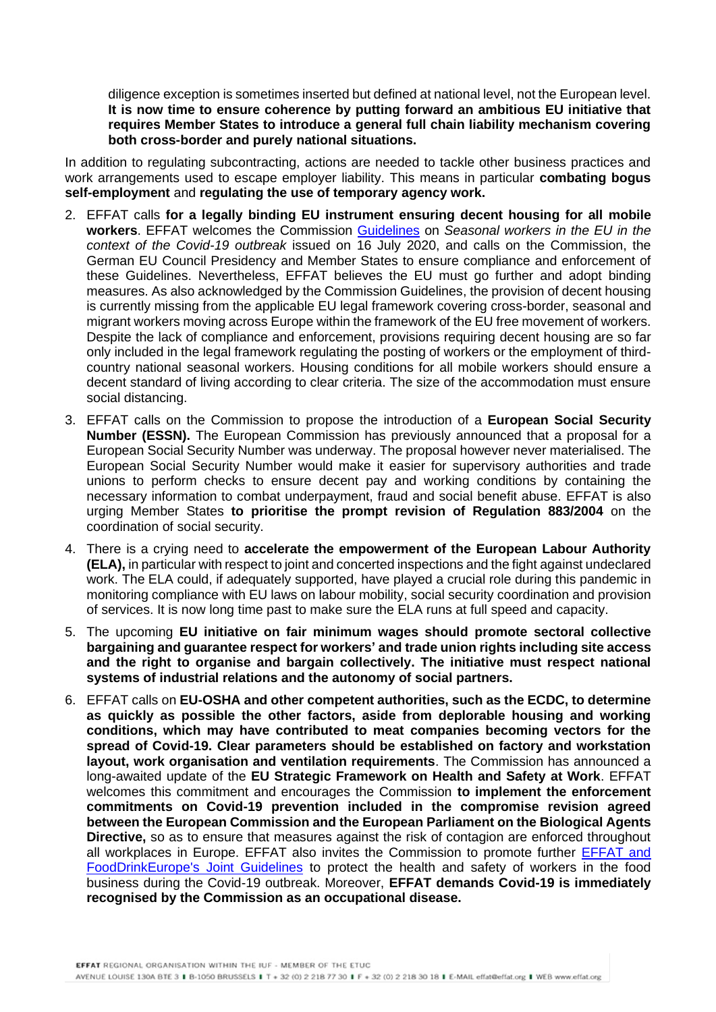diligence exception is sometimes inserted but defined at national level, not the European level. **It is now time to ensure coherence by putting forward an ambitious EU initiative that requires Member States to introduce a general full chain liability mechanism covering both cross-border and purely national situations.**

In addition to regulating subcontracting, actions are needed to tackle other business practices and work arrangements used to escape employer liability. This means in particular **combating bogus self-employment** and **regulating the use of temporary agency work.**

- 2. EFFAT calls **for a legally binding EU instrument ensuring decent housing for all mobile workers**. EFFAT welcomes the Commission [Guidelines](https://ec.europa.eu/info/sites/info/files/guidelines_on_seasonal_workers_in_the_eu_in_the_context_of_the_covid-19_outbreak_en.pdf) on *Seasonal workers in the EU in the context of the Covid-19 outbreak* issued on 16 July 2020, and calls on the Commission, the German EU Council Presidency and Member States to ensure compliance and enforcement of these Guidelines. Nevertheless, EFFAT believes the EU must go further and adopt binding measures. As also acknowledged by the Commission Guidelines, the provision of decent housing is currently missing from the applicable EU legal framework covering cross-border, seasonal and migrant workers moving across Europe within the framework of the EU free movement of workers. Despite the lack of compliance and enforcement, provisions requiring decent housing are so far only included in the legal framework regulating the posting of workers or the employment of thirdcountry national seasonal workers. Housing conditions for all mobile workers should ensure a decent standard of living according to clear criteria. The size of the accommodation must ensure social distancing.
- 3. EFFAT calls on the Commission to propose the introduction of a **European Social Security Number (ESSN).** The European Commission has previously announced that a proposal for a European Social Security Number was underway. The proposal however never materialised. The European Social Security Number would make it easier for supervisory authorities and trade unions to perform checks to ensure decent pay and working conditions by containing the necessary information to combat underpayment, fraud and social benefit abuse. EFFAT is also urging Member States **to prioritise the prompt revision of Regulation 883/2004** on the coordination of social security.
- 4. There is a crying need to **accelerate the empowerment of the European Labour Authority (ELA),** in particular with respect to joint and concerted inspections and the fight against undeclared work. The ELA could, if adequately supported, have played a crucial role during this pandemic in monitoring compliance with EU laws on labour mobility, social security coordination and provision of services. It is now long time past to make sure the ELA runs at full speed and capacity.
- 5. The upcoming **EU initiative on fair minimum wages should promote sectoral collective bargaining and guarantee respect for workers' and trade union rights including site access and the right to organise and bargain collectively. The initiative must respect national systems of industrial relations and the autonomy of social partners.**
- 6. EFFAT calls on **EU-OSHA and other competent authorities, such as the ECDC, to determine as quickly as possible the other factors, aside from deplorable housing and working conditions, which may have contributed to meat companies becoming vectors for the spread of Covid-19. Clear parameters should be established on factory and workstation layout, work organisation and ventilation requirements**. The Commission has announced a long-awaited update of the **EU Strategic Framework on Health and Safety at Work**. EFFAT welcomes this commitment and encourages the Commission **to implement the enforcement commitments on Covid-19 prevention included in the compromise revision agreed between the European Commission and the European Parliament on the Biological Agents Directive,** so as to ensure that measures against the risk of contagion are enforced throughout all workplaces in Europe. EFFAT also invites the Commission to promote further [EFFAT and](https://effat.org/wp-content/uploads/2020/03/FoodDrinkEurope-EFFAT-Guidelines-to-protect-the-health-and-safety-of-workers-in-food-business-during-COVID-19-oubreak_EN.pdf)  [FoodDrinkEurope's Joint Guidelines](https://effat.org/wp-content/uploads/2020/03/FoodDrinkEurope-EFFAT-Guidelines-to-protect-the-health-and-safety-of-workers-in-food-business-during-COVID-19-oubreak_EN.pdf) to protect the health and safety of workers in the food business during the Covid-19 outbreak. Moreover, **EFFAT demands Covid-19 is immediately recognised by the Commission as an occupational disease.**